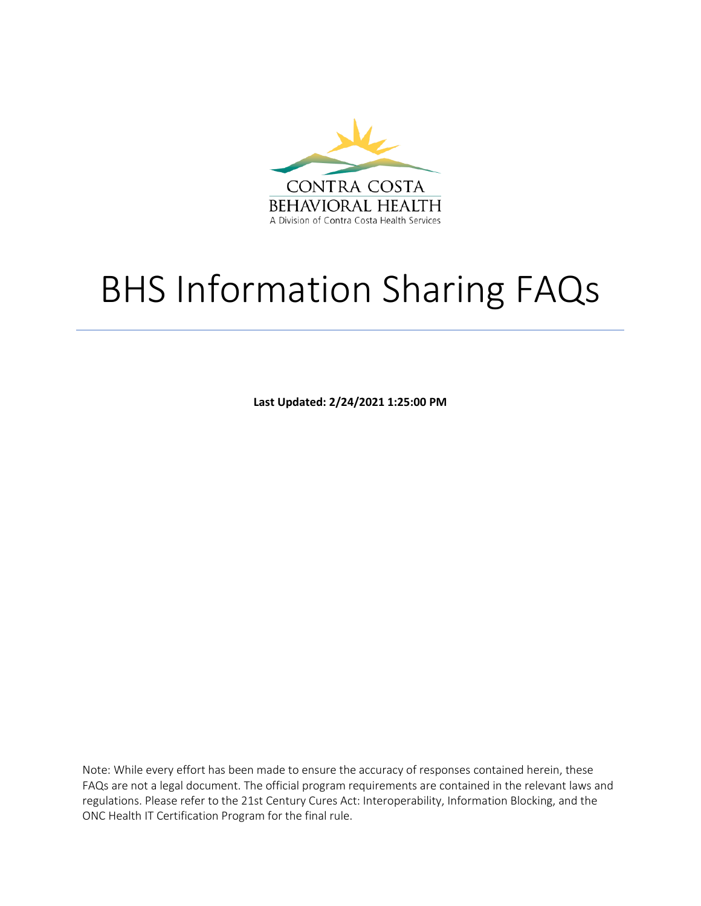

# BHS Information Sharing FAQs

**Last Updated: 2/24/2021 1:25:00 PM**

Note: While every effort has been made to ensure the accuracy of responses contained herein, these FAQs are not a legal document. The official program requirements are contained in the relevant laws and regulations. Please refer to the 21st Century Cures Act: Interoperability, Information Blocking, and the ONC Health IT Certification Program for the final rule.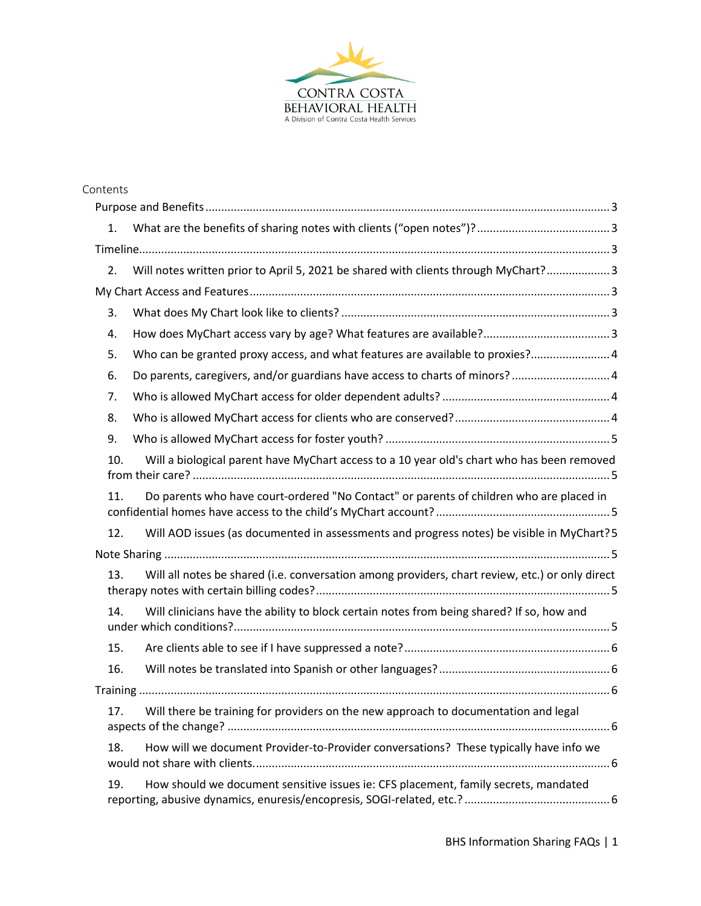

| Contents |                                                                                                 |
|----------|-------------------------------------------------------------------------------------------------|
|          |                                                                                                 |
| 1.       |                                                                                                 |
|          |                                                                                                 |
| 2.       | Will notes written prior to April 5, 2021 be shared with clients through MyChart? 3             |
|          |                                                                                                 |
| 3.       |                                                                                                 |
| 4.       |                                                                                                 |
| 5.       | Who can be granted proxy access, and what features are available to proxies? 4                  |
| 6.       | Do parents, caregivers, and/or guardians have access to charts of minors?  4                    |
| 7.       |                                                                                                 |
| 8.       |                                                                                                 |
| 9.       |                                                                                                 |
| 10.      | Will a biological parent have MyChart access to a 10 year old's chart who has been removed      |
| 11.      | Do parents who have court-ordered "No Contact" or parents of children who are placed in         |
| 12.      | Will AOD issues (as documented in assessments and progress notes) be visible in MyChart?5       |
|          |                                                                                                 |
| 13.      | Will all notes be shared (i.e. conversation among providers, chart review, etc.) or only direct |
| 14.      | Will clinicians have the ability to block certain notes from being shared? If so, how and       |
| 15.      |                                                                                                 |
| 16.      |                                                                                                 |
|          |                                                                                                 |
| 17.      | Will there be training for providers on the new approach to documentation and legal             |
| 18.      | How will we document Provider-to-Provider conversations? These typically have info we           |
| 19.      | How should we document sensitive issues ie: CFS placement, family secrets, mandated             |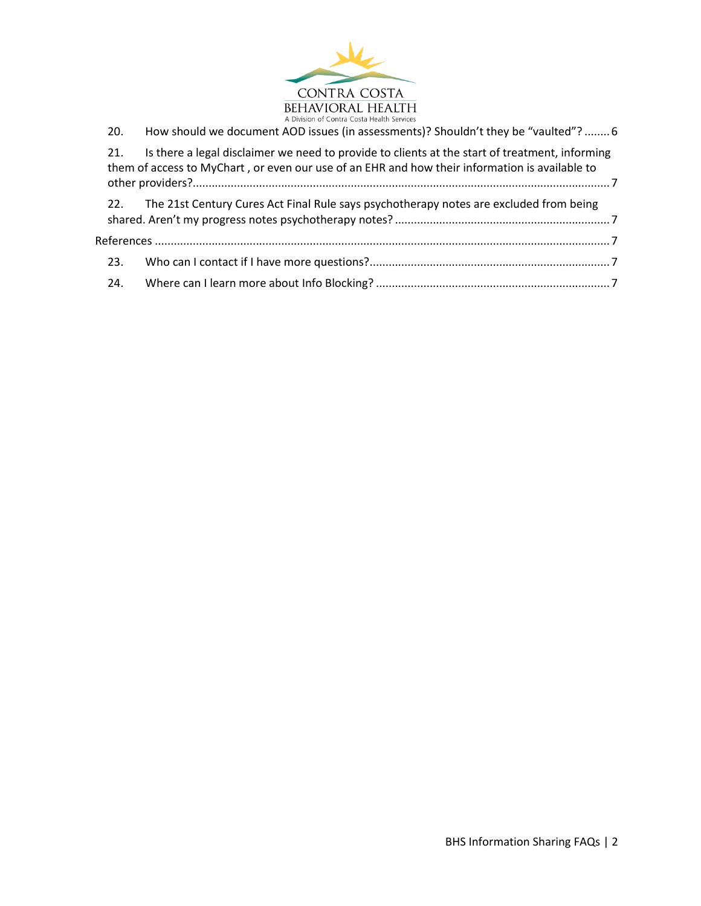

| 20. | How should we document AOD issues (in assessments)? Shouldn't they be "vaulted"?  6                                                                                                              |  |
|-----|--------------------------------------------------------------------------------------------------------------------------------------------------------------------------------------------------|--|
| 21. | Is there a legal disclaimer we need to provide to clients at the start of treatment, informing<br>them of access to MyChart, or even our use of an EHR and how their information is available to |  |
| 22. | The 21st Century Cures Act Final Rule says psychotherapy notes are excluded from being                                                                                                           |  |
|     |                                                                                                                                                                                                  |  |
| 23. |                                                                                                                                                                                                  |  |
| 24. |                                                                                                                                                                                                  |  |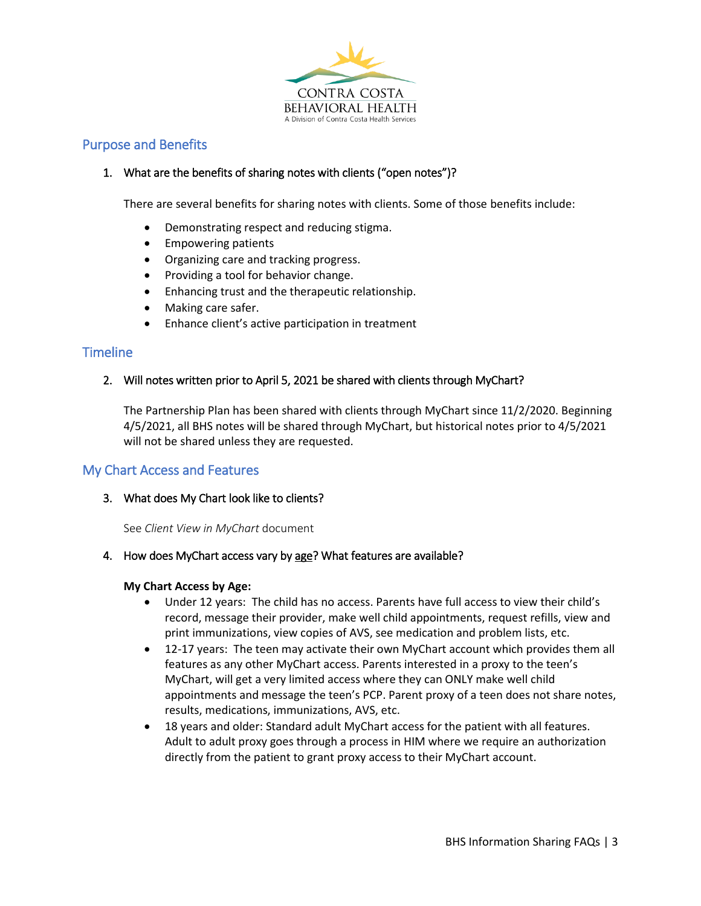

# <span id="page-3-1"></span><span id="page-3-0"></span>Purpose and Benefits

# 1. What are the benefits of sharing notes with clients ("open notes")?

There are several benefits for sharing notes with clients. Some of those benefits include:

- Demonstrating respect and reducing stigma.
- Empowering patients
- Organizing care and tracking progress.
- Providing a tool for behavior change.
- Enhancing trust and the therapeutic relationship.
- Making care safer.
- Enhance client's active participation in treatment

# <span id="page-3-3"></span><span id="page-3-2"></span>**Timeline**

# 2. Will notes written prior to April 5, 2021 be shared with clients through MyChart?

The Partnership Plan has been shared with clients through MyChart since 11/2/2020. Beginning 4/5/2021, all BHS notes will be shared through MyChart, but historical notes prior to 4/5/2021 will not be shared unless they are requested.

# <span id="page-3-5"></span><span id="page-3-4"></span>My Chart Access and Features

### 3. What does My Chart look like to clients?

See *Client View in MyChart* document

### <span id="page-3-6"></span>4. How does MyChart access vary by age? What features are available?

### **My Chart Access by Age:**

- Under 12 years: The child has no access. Parents have full access to view their child's record, message their provider, make well child appointments, request refills, view and print immunizations, view copies of AVS, see medication and problem lists, etc.
- 12-17 years: The teen may activate their own MyChart account which provides them all features as any other MyChart access. Parents interested in a proxy to the teen's MyChart, will get a very limited access where they can ONLY make well child appointments and message the teen's PCP. Parent proxy of a teen does not share notes, results, medications, immunizations, AVS, etc.
- 18 years and older: Standard adult MyChart access for the patient with all features. Adult to adult proxy goes through a process in HIM where we require an authorization directly from the patient to grant proxy access to their MyChart account.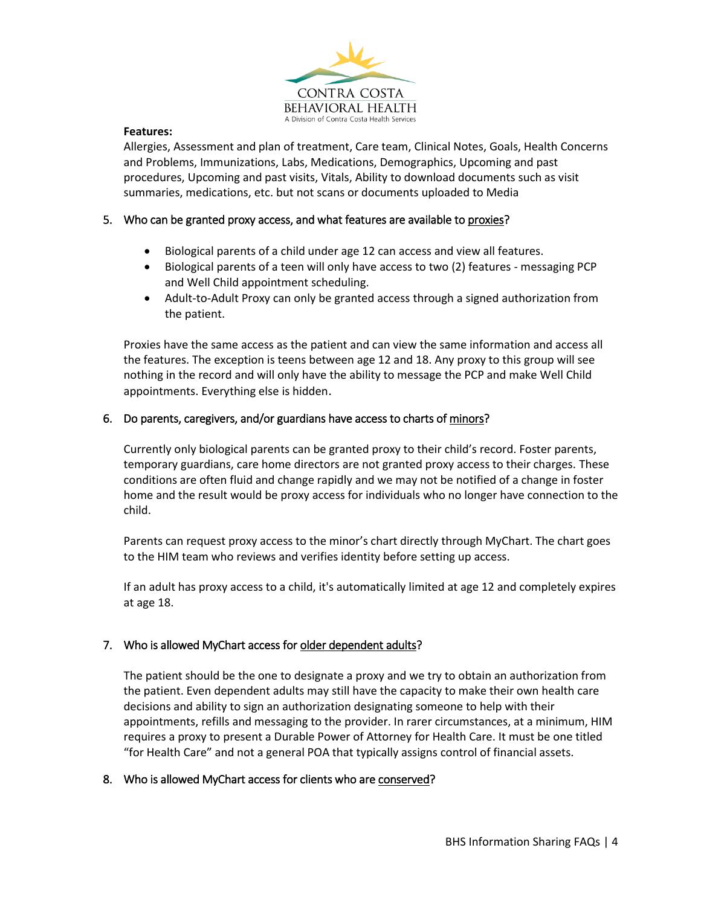

#### **Features:**

Allergies, Assessment and plan of treatment, Care team, Clinical Notes, Goals, Health Concerns and Problems, Immunizations, Labs, Medications, Demographics, Upcoming and past procedures, Upcoming and past visits, Vitals, Ability to download documents such as visit summaries, medications, etc. but not scans or documents uploaded to Media

# <span id="page-4-0"></span>5. Who can be granted proxy access, and what features are available to proxies?

- Biological parents of a child under age 12 can access and view all features.
- Biological parents of a teen will only have access to two (2) features messaging PCP and Well Child appointment scheduling.
- Adult-to-Adult Proxy can only be granted access through a signed authorization from the patient.

Proxies have the same access as the patient and can view the same information and access all the features. The exception is teens between age 12 and 18. Any proxy to this group will see nothing in the record and will only have the ability to message the PCP and make Well Child appointments. Everything else is hidden.

# <span id="page-4-1"></span>6. Do parents, caregivers, and/or guardians have access to charts of minors?

Currently only biological parents can be granted proxy to their child's record. Foster parents, temporary guardians, care home directors are not granted proxy access to their charges. These conditions are often fluid and change rapidly and we may not be notified of a change in foster home and the result would be proxy access for individuals who no longer have connection to the child.

Parents can request proxy access to the minor's chart directly through MyChart. The chart goes to the HIM team who reviews and verifies identity before setting up access.

If an adult has proxy access to a child, it's automatically limited at age 12 and completely expires at age 18.

# <span id="page-4-2"></span>7. Who is allowed MyChart access for older dependent adults?

The patient should be the one to designate a proxy and we try to obtain an authorization from the patient. Even dependent adults may still have the capacity to make their own health care decisions and ability to sign an authorization designating someone to help with their appointments, refills and messaging to the provider. In rarer circumstances, at a minimum, HIM requires a proxy to present a Durable Power of Attorney for Health Care. It must be one titled "for Health Care" and not a general POA that typically assigns control of financial assets.

### <span id="page-4-3"></span>8. Who is allowed MyChart access for clients who are conserved?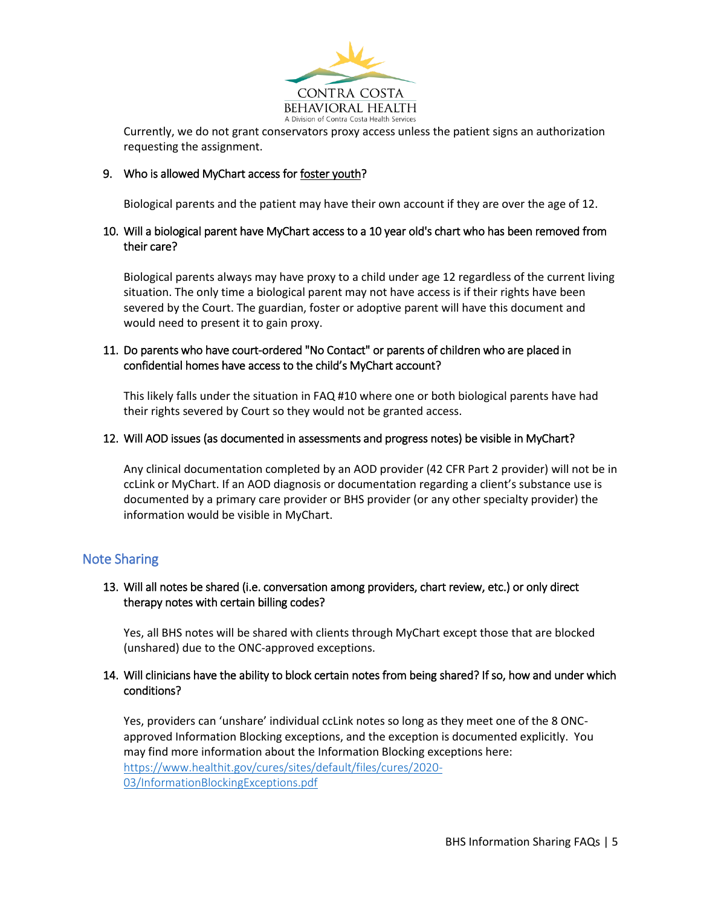

Currently, we do not grant conservators proxy access unless the patient signs an authorization requesting the assignment.

# <span id="page-5-0"></span>9. Who is allowed MyChart access for foster youth?

Biological parents and the patient may have their own account if they are over the age of 12.

## <span id="page-5-1"></span>10. Will a biological parent have MyChart access to a 10 year old's chart who has been removed from their care?

Biological parents always may have proxy to a child under age 12 regardless of the current living situation. The only time a biological parent may not have access is if their rights have been severed by the Court. The guardian, foster or adoptive parent will have this document and would need to present it to gain proxy.

# <span id="page-5-2"></span>11. Do parents who have court-ordered "No Contact" or parents of children who are placed in confidential homes have access to the child's MyChart account?

This likely falls under the situation in FAQ #10 where one or both biological parents have had their rights severed by Court so they would not be granted access.

### <span id="page-5-3"></span>12. Will AOD issues (as documented in assessments and progress notes) be visible in MyChart?

Any clinical documentation completed by an AOD provider (42 CFR Part 2 provider) will not be in ccLink or MyChart. If an AOD diagnosis or documentation regarding a client's substance use is documented by a primary care provider or BHS provider (or any other specialty provider) the information would be visible in MyChart.

# <span id="page-5-5"></span><span id="page-5-4"></span>Note Sharing

# 13. Will all notes be shared (i.e. conversation among providers, chart review, etc.) or only direct therapy notes with certain billing codes?

Yes, all BHS notes will be shared with clients through MyChart except those that are blocked (unshared) due to the ONC-approved exceptions.

# <span id="page-5-6"></span>14. Will clinicians have the ability to block certain notes from being shared? If so, how and under which conditions?

Yes, providers can 'unshare' individual ccLink notes so long as they meet one of the 8 ONCapproved Information Blocking exceptions, and the exception is documented explicitly. You may find more information about the Information Blocking exceptions here: [https://www.healthit.gov/cures/sites/default/files/cures/2020-](https://www.healthit.gov/cures/sites/default/files/cures/2020-03/InformationBlockingExceptions.pdf) [03/InformationBlockingExceptions.pdf](https://www.healthit.gov/cures/sites/default/files/cures/2020-03/InformationBlockingExceptions.pdf)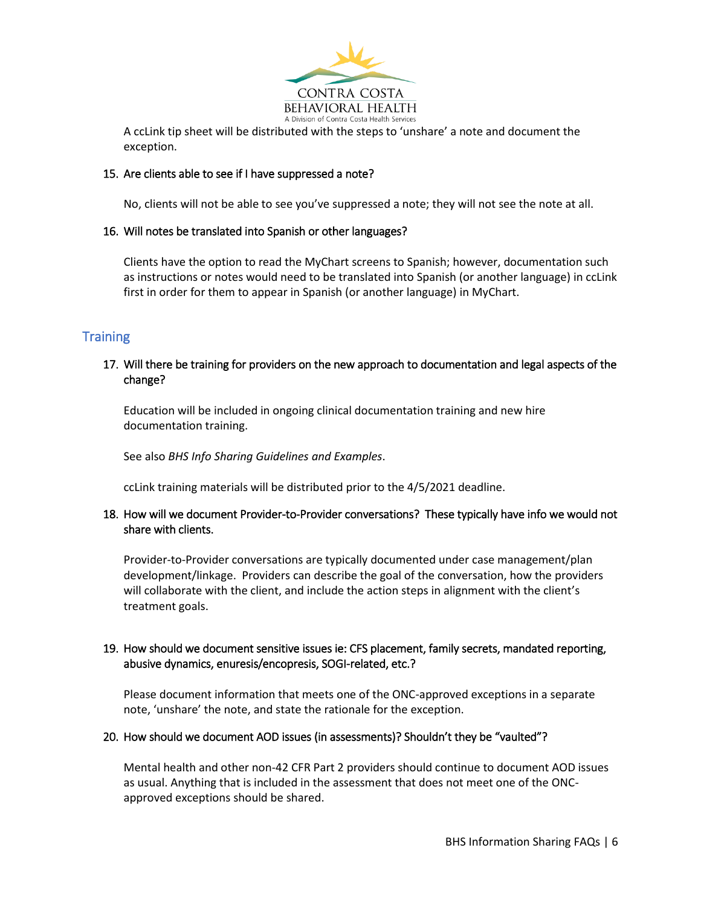

A ccLink tip sheet will be distributed with the steps to 'unshare' a note and document the exception.

# <span id="page-6-0"></span>15. Are clients able to see if I have suppressed a note?

No, clients will not be able to see you've suppressed a note; they will not see the note at all.

# <span id="page-6-1"></span>16. Will notes be translated into Spanish or other languages?

Clients have the option to read the MyChart screens to Spanish; however, documentation such as instructions or notes would need to be translated into Spanish (or another language) in ccLink first in order for them to appear in Spanish (or another language) in MyChart.

# <span id="page-6-3"></span><span id="page-6-2"></span>**Training**

# 17. Will there be training for providers on the new approach to documentation and legal aspects of the change?

Education will be included in ongoing clinical documentation training and new hire documentation training.

See also *BHS Info Sharing Guidelines and Examples*.

ccLink training materials will be distributed prior to the 4/5/2021 deadline.

# <span id="page-6-4"></span>18. How will we document Provider-to-Provider conversations? These typically have info we would not share with clients.

Provider-to-Provider conversations are typically documented under case management/plan development/linkage. Providers can describe the goal of the conversation, how the providers will collaborate with the client, and include the action steps in alignment with the client's treatment goals.

# <span id="page-6-5"></span>19. How should we document sensitive issues ie: CFS placement, family secrets, mandated reporting, abusive dynamics, enuresis/encopresis, SOGI-related, etc.?

Please document information that meets one of the ONC-approved exceptions in a separate note, 'unshare' the note, and state the rationale for the exception.

### <span id="page-6-6"></span>20. How should we document AOD issues (in assessments)? Shouldn't they be "vaulted"?

Mental health and other non-42 CFR Part 2 providers should continue to document AOD issues as usual. Anything that is included in the assessment that does not meet one of the ONCapproved exceptions should be shared.